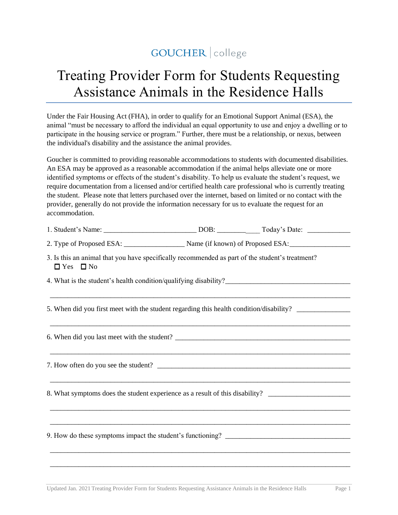## GOUCHER | college

## Treating Provider Form for Students Requesting Assistance Animals in the Residence Halls

Under the Fair Housing Act (FHA), in order to qualify for an Emotional Support Animal (ESA), the animal "must be necessary to afford the individual an equal opportunity to use and enjoy a dwelling or to participate in the housing service or program." Further, there must be a relationship, or nexus, between the individual's disability and the assistance the animal provides.

Goucher is committed to providing reasonable accommodations to students with documented disabilities. An ESA may be approved as a reasonable accommodation if the animal helps alleviate one or more identified symptoms or effects of the student's disability. To help us evaluate the student's request, we require documentation from a licensed and/or certified health care professional who is currently treating the student. Please note that letters purchased over the internet, based on limited or no contact with the provider, generally do not provide the information necessary for us to evaluate the request for an accommodation.

|                                                                                                                         | 2. Type of Proposed ESA: ________________________ Name (if known) of Proposed ESA: _________________ |  |
|-------------------------------------------------------------------------------------------------------------------------|------------------------------------------------------------------------------------------------------|--|
| 3. Is this an animal that you have specifically recommended as part of the student's treatment?<br>$\Box$ Yes $\Box$ No |                                                                                                      |  |
|                                                                                                                         |                                                                                                      |  |
| 5. When did you first meet with the student regarding this health condition/disability? ______________________          |                                                                                                      |  |
|                                                                                                                         |                                                                                                      |  |
|                                                                                                                         |                                                                                                      |  |
| 8. What symptoms does the student experience as a result of this disability? _______________________                    |                                                                                                      |  |
|                                                                                                                         |                                                                                                      |  |
|                                                                                                                         |                                                                                                      |  |
|                                                                                                                         |                                                                                                      |  |